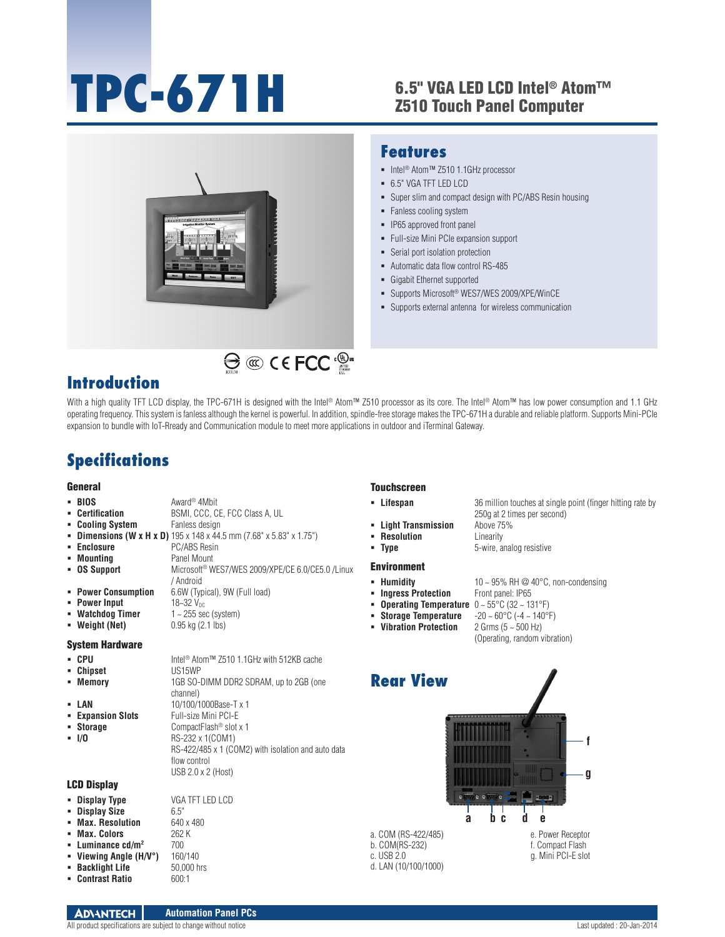# **TPC-671H**

### 6.5" VGA LED LCD Intel® Atom™ Z510 Touch Panel Computer



### **Features**

- Intel<sup>®</sup> Atom™ Z510 1.1GHz processor
- 6.5" VGA TFT LED LCD
- Super slim and compact design with PC/ABS Resin housing
- Fanless cooling system
- **IP65** approved front panel
- Full-size Mini PCIe expansion support
- Serial port isolation protection
- Automatic data flow control RS-485
- Gigabit Ethernet supported
- Supports Microsoft® WES7/WES 2009/XPE/WinCE
- Supports external antenna for wireless communication

### **Introduction**

With a high quality TFT LCD display, the TPC-671H is designed with the Intel® Atom™ Z510 processor as its core. The Intel® Atom™ has low power consumption and 1.1 GHz operating frequency. This system is fanless although the kernel is powerful. In addition, spindle-free storage makes the TPC-671H a durable and reliable platform. Supports Mini-PCIe expansion to bundle with IoT-Rready and Communication module to meet more applications in outdoor and iTerminal Gateway.

# **Specifications**

#### General

| $-BIOS$                | Award <sup>®</sup> 4Mbit                                                                | • Lifespan              | 36 million touches at single point (finger hitting rate by |
|------------------------|-----------------------------------------------------------------------------------------|-------------------------|------------------------------------------------------------|
| • Certification        | BSMI, CCC, CE, FCC Class A, UL                                                          |                         | 250g at 2 times per second)                                |
| • Cooling System       | Fanless design                                                                          | - Light Transmission    | Above 75%                                                  |
|                        | <b>- Dimensions (W x H x D)</b> $195 \times 148 \times 44.5$ mm (7.68" x 5.83" x 1.75") | • Resolution            | Linearity                                                  |
| • Enclosure            | PC/ABS Resin                                                                            | $- Type$                | 5-wire, analog resistive                                   |
| • Mounting             | Panel Mount                                                                             |                         |                                                            |
| • OS Support           | Microsoft <sup>®</sup> WES7/WES 2009/XPE/CE 6.0/CE5.0 /Linux                            | <b>Environment</b>      |                                                            |
|                        | / Android                                                                               | • Humidity              | 10 $\sim$ 95% RH @ 40 $\degree$ C, non-condensing          |
| • Power Consumption    | 6.6W (Typical), 9W (Full load)                                                          | • Ingress Protection    | Front panel: IP65                                          |
| • Power Input          | $18 - 32$ V <sub>nc</sub>                                                               | • Operating Temperature | $0 \sim 55^{\circ}$ C (32 ~ 131°F)                         |
| • Watchdog Timer       | $1 - 255$ sec (system)                                                                  | • Storage Temperature   | $-20 \sim 60^{\circ}$ C ( $-4 \sim 140^{\circ}$ F)         |
| • Weight (Net)         | $0.95$ kg $(2.1$ lbs)                                                                   | • Vibration Protection  | 2 Grms $(5 - 500$ Hz)                                      |
|                        |                                                                                         |                         | (Operating, random vibration)                              |
| <b>System Hardware</b> |                                                                                         |                         |                                                            |
| - CPU                  | Intel <sup>®</sup> Atom™ Z510 1.1GHz with 512KB cache                                   |                         |                                                            |
| - Chipset              | US15WP                                                                                  |                         |                                                            |
| • Memory               | 1GB SO-DIMM DDR2 SDRAM, up to 2GB (one                                                  | <b>Rear View</b>        |                                                            |
|                        | channel)                                                                                |                         |                                                            |
| - LAN                  | 10/100/1000Base-T x 1                                                                   |                         |                                                            |
| • Expansion Slots      | Full-size Mini PCI-E                                                                    |                         |                                                            |
| • Storage              | CompactFlash <sup>®</sup> slot x 1                                                      |                         |                                                            |
| $-1/0$                 | RS-232 x 1(COM1)                                                                        |                         |                                                            |
|                        | RS-422/485 x 1 (COM2) with isolation and auto data                                      |                         |                                                            |
|                        | flow control                                                                            |                         |                                                            |
|                        | USB 2.0 x 2 (Host)                                                                      |                         |                                                            |
| <b>LCD Display</b>     |                                                                                         |                         |                                                            |
|                        |                                                                                         |                         |                                                            |

- **Display Type** VGA TFT LED LCD
- **Display Size** 6.5"<br>**Max. Resolution** 640 x 480 **Max. Resolution**
- 
- **Max. Colors** 262 K<br>**Example 262 K**<br>**Example 264 May 262 K**
- 
- 
- **E** Contrast Ratio
- 

**Luminance cd/m<sup>2</sup> 700<br>• Viewing Angle (H/V°)** 160/140 **Viewing Angle (H/V°)** 160/140<br>**Backlight Life** 50,000 hrs **Backlight Life** 50,000<br>**Biographs 500.51 Contrast Ratio** 

### **Touchscreen**



a. COM (RS-422/485) b. COM(RS-232) c. USB 2.0 d. LAN (10/100/1000) e. Power Receptor f. Compact Flash g. Mini PCI-E slot

# 10 **n** - condensing